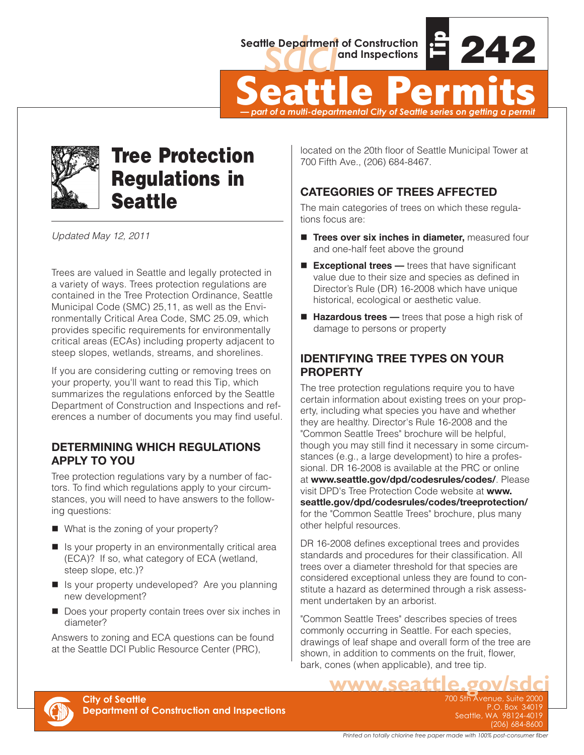

Seattle Department of Construction<br> **Seattle Permits**<br>  $\frac{1}{2}$ <br> **Seattle Permits** *— part of a multi-departmental City of Seattle series on getting a permit*



# Tree Protection Regulations in **Seattle**

*Updated May 12, 2011*

Trees are valued in Seattle and legally protected in a variety of ways. Trees protection regulations are contained in the Tree Protection Ordinance, Seattle Municipal Code (SMC) 25,11, as well as the Environmentally Critical Area Code, SMC 25.09, which provides specific requirements for environmentally critical areas (ECAs) including property adjacent to steep slopes, wetlands, streams, and shorelines.

If you are considering cutting or removing trees on your property, you'll want to read this Tip, which summarizes the regulations enforced by the Seattle Department of Construction and Inspections and references a number of documents you may find useful.

### **DETERMINING WHICH REGULATIONS APPLY TO YOU**

Tree protection regulations vary by a number of factors. To find which regulations apply to your circumstances, you will need to have answers to the following questions:

- What is the zoning of your property?
- $\blacksquare$  Is your property in an environmentally critical area (ECA)? If so, what category of ECA (wetland, steep slope, etc.)?
- Is your property undeveloped? Are you planning new development?
- $\blacksquare$  Does your property contain trees over six inches in diameter?

Answers to zoning and ECA questions can be found at the Seattle DCI Public Resource Center (PRC),

located on the 20th floor of Seattle Municipal Tower at 700 Fifth Ave., (206) 684-8467.

### **CATEGORIES OF TREES AFFECTED**

The main categories of trees on which these regulations focus are:

- **Trees over six inches in diameter.** measured four and one-half feet above the ground
- **Exceptional trees** trees that have significant value due to their size and species as defined in Director's Rule (DR) 16-2008 which have unique historical, ecological or aesthetic value.
- **Hazardous trees** trees that pose a high risk of damage to persons or property

### **IDENTIFYING TREE TYPES ON YOUR PROPERTY**

The tree protection regulations require you to have certain information about existing trees on your property, including what species you have and whether they are healthy. Director's Rule 16-2008 and the "Common Seattle Trees" brochure will be helpful, though you may still find it necessary in some circumstances (e.g., a large development) to hire a professional. DR 16-2008 is available at the PRC or online at **www.seattle.gov/dpd/codesrules/codes/**. Please visit DPD's Tree Protection Code website at **www. seattle.gov/dpd/codesrules/codes/treeprotection/** for the "Common Seattle Trees" brochure, plus many other helpful resources.

DR 16-2008 defines exceptional trees and provides standards and procedures for their classification. All trees over a diameter threshold for that species are considered exceptional unless they are found to constitute a hazard as determined through a risk assessment undertaken by an arborist.

"Common Seattle Trees" describes species of trees commonly occurring in Seattle. For each species, drawings of leaf shape and overall form of the tree are shown, in addition to comments on the fruit, flower, bark, cones (when applicable), and tree tip.



700 5th Avenue, Suite 2000 P.O. Box 34019 Seattle, WA 98124-4019 (206) 684-8600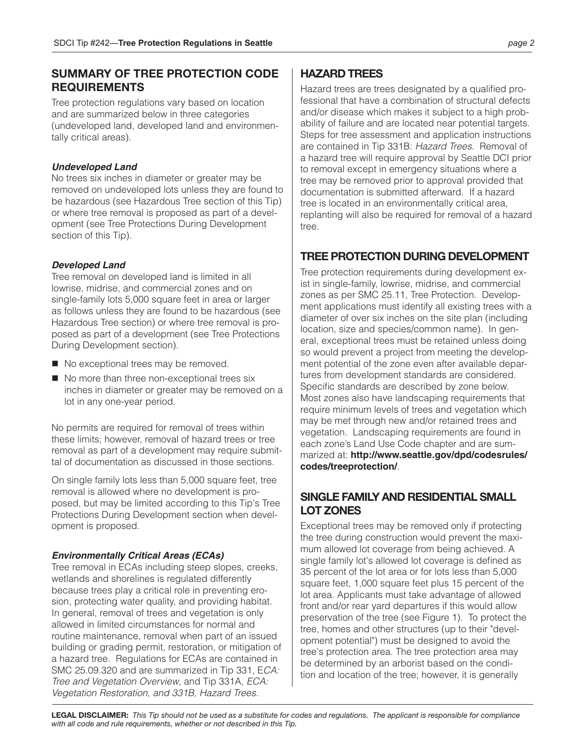### **SUMMARY OF TREE PROTECTION CODE REQUIREMENTS**

Tree protection regulations vary based on location and are summarized below in three categories (undeveloped land, developed land and environmentally critical areas).

#### *Undeveloped Land*

No trees six inches in diameter or greater may be removed on undeveloped lots unless they are found to be hazardous (see Hazardous Tree section of this Tip) or where tree removal is proposed as part of a development (see Tree Protections During Development section of this Tip).

#### *Developed Land*

Tree removal on developed land is limited in all lowrise, midrise, and commercial zones and on single-family lots 5,000 square feet in area or larger as follows unless they are found to be hazardous (see Hazardous Tree section) or where tree removal is proposed as part of a development (see Tree Protections During Development section).

- No exceptional trees may be removed.
- $\blacksquare$  No more than three non-exceptional trees six inches in diameter or greater may be removed on a lot in any one-year period.

No permits are required for removal of trees within these limits; however, removal of hazard trees or tree removal as part of a development may require submittal of documentation as discussed in those sections.

On single family lots less than 5,000 square feet, tree removal is allowed where no development is proposed, but may be limited according to this Tip's Tree Protections During Development section when development is proposed.

#### *Environmentally Critical Areas (ECAs)*

Tree removal in ECAs including steep slopes, creeks, wetlands and shorelines is regulated differently because trees play a critical role in preventing erosion, protecting water quality, and providing habitat. In general, removal of trees and vegetation is only allowed in limited circumstances for normal and routine maintenance, removal when part of an issued building or grading permit, restoration, or mitigation of a hazard tree. Regulations for ECAs are contained in SMC 25.09.320 and are summarized in Tip 331, E*CA: Tree and Vegetation Overview*, and Tip 331A, *ECA: Vegetation Restoration, and 331B, Hazard Trees*.

### **HAZARD TREES**

Hazard trees are trees designated by a qualified professional that have a combination of structural defects and/or disease which makes it subject to a high probability of failure and are located near potential targets. Steps for tree assessment and application instructions are contained in Tip 331B: *Hazard Trees*. Removal of a hazard tree will require approval by Seattle DCI prior to removal except in emergency situations where a tree may be removed prior to approval provided that documentation is submitted afterward. If a hazard tree is located in an environmentally critical area, replanting will also be required for removal of a hazard tree.

### **TREE PROTECTION DURING DEVELOPMENT**

Tree protection requirements during development exist in single-family, lowrise, midrise, and commercial zones as per SMC 25.11, Tree Protection. Development applications must identify all existing trees with a diameter of over six inches on the site plan (including location, size and species/common name). In general, exceptional trees must be retained unless doing so would prevent a project from meeting the development potential of the zone even after available departures from development standards are considered. Specific standards are described by zone below. Most zones also have landscaping requirements that require minimum levels of trees and vegetation which may be met through new and/or retained trees and vegetation. Landscaping requirements are found in each zone's Land Use Code chapter and are summarized at: **http://www.seattle.gov/dpd/codesrules/ codes/treeprotection/**.

### **SINGLE FAMILY AND RESIDENTIAL SMALL LOT ZONES**

Exceptional trees may be removed only if protecting the tree during construction would prevent the maximum allowed lot coverage from being achieved. A single family lot's allowed lot coverage is defined as 35 percent of the lot area or for lots less than 5,000 square feet, 1,000 square feet plus 15 percent of the lot area. Applicants must take advantage of allowed front and/or rear yard departures if this would allow preservation of the tree (see Figure 1). To protect the tree, homes and other structures (up to their "development potential") must be designed to avoid the tree's protection area. The tree protection area may be determined by an arborist based on the condition and location of the tree; however, it is generally

**LEGAL DISCLAIMER:** *This Tip should not be used as a substitute for codes and regulations. The applicant is responsible for compliance with all code and rule requirements, whether or not described in this Tip.*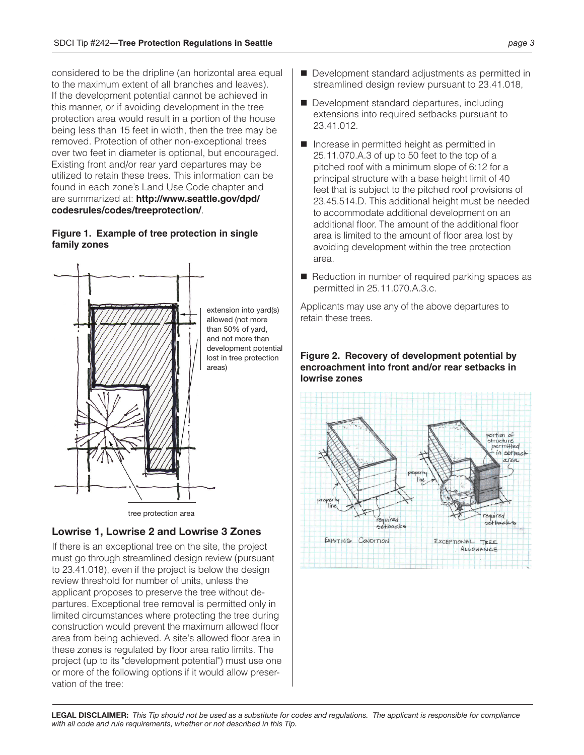considered to be the dripline (an horizontal area equal to the maximum extent of all branches and leaves). If the development potential cannot be achieved in this manner, or if avoiding development in the tree protection area would result in a portion of the house being less than 15 feet in width, then the tree may be removed. Protection of other non-exceptional trees over two feet in diameter is optional, but encouraged. Existing front and/or rear yard departures may be utilized to retain these trees. This information can be found in each zone's Land Use Code chapter and are summarized at: **http://www.seattle.gov/dpd/ codesrules/codes/treeprotection/**.

#### **Figure 1. Example of tree protection in single family zones**



### **Lowrise 1, Lowrise 2 and Lowrise 3 Zones**

If there is an exceptional tree on the site, the project must go through streamlined design review (pursuant to 23.41.018), even if the project is below the design review threshold for number of units, unless the applicant proposes to preserve the tree without departures. Exceptional tree removal is permitted only in limited circumstances where protecting the tree during construction would prevent the maximum allowed floor area from being achieved. A site's allowed floor area in these zones is regulated by floor area ratio limits. The project (up to its "development potential") must use one or more of the following options if it would allow preservation of the tree:

- Development standard adjustments as permitted in streamlined design review pursuant to 23.41.018,
- $\blacksquare$  Development standard departures, including extensions into required setbacks pursuant to 23.41.012.
- $\blacksquare$  Increase in permitted height as permitted in 25.11.070.A.3 of up to 50 feet to the top of a pitched roof with a minimum slope of 6:12 for a principal structure with a base height limit of 40 feet that is subject to the pitched roof provisions of 23.45.514.D. This additional height must be needed to accommodate additional development on an additional floor. The amount of the additional floor area is limited to the amount of floor area lost by avoiding development within the tree protection area.
- Reduction in number of required parking spaces as permitted in 25.11.070.A.3.c.

Applicants may use any of the above departures to retain these trees.



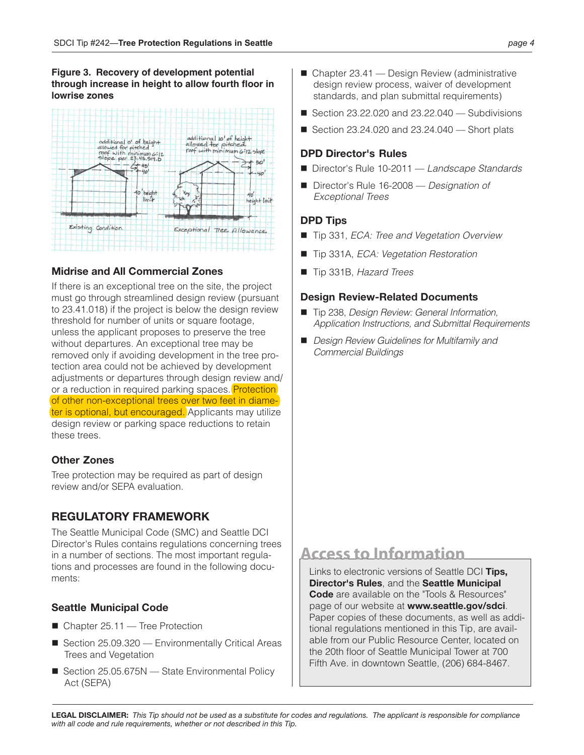#### **Figure 3. Recovery of development potential through increase in height to allow fourth floor in lowrise zones**



### **Midrise and All Commercial Zones**

If there is an exceptional tree on the site, the project must go through streamlined design review (pursuant to 23.41.018) if the project is below the design review threshold for number of units or square footage, unless the applicant proposes to preserve the tree without departures. An exceptional tree may be removed only if avoiding development in the tree protection area could not be achieved by development adjustments or departures through design review and/ or a reduction in required parking spaces. **Protection** of other non-exceptional trees over two feet in diameter is optional, but encouraged. Applicants may utilize design review or parking space reductions to retain these trees.

### **Other Zones**

Tree protection may be required as part of design review and/or SEPA evaluation.

### **REGULATORY FRAMEWORK**

The Seattle Municipal Code (SMC) and Seattle DCI Director's Rules contains regulations concerning trees in a number of sections. The most important regulations and processes are found in the following documents:

### **Seattle Municipal Code**

- $\blacksquare$  Chapter 25.11 Tree Protection
- $\blacksquare$  Section 25.09.320 Environmentally Critical Areas Trees and Vegetation
- Section  $25.05.675N$  State Environmental Policy Act (SEPA)
- $\blacksquare$  Chapter 23.41 Design Review (administrative design review process, waiver of development standards, and plan submittal requirements)
- Gection  $23.22.020$  and  $23.22.040$  Subdivisions
- Gection 23.24.020 and  $23.24.040$  Short plats

### **DPD Director's Rules**

- Director's Rule 10-2011 *Landscape Standards*
- Director's Rule 16-2008 *Designation of Exceptional Trees*

#### **DPD Tips**

- Tip 331, *ECA: Tree and Vegetation Overview*
- Tip 331A, *ECA: Vegetation Restoration*
- Tip 331B, *Hazard Trees*

#### **Design Review-Related Documents**

- Tip 238, *Design Review: General Information*, *Application Instructions, and Submittal Requirements*
- *Design Review Guidelines for Multifamily and Commercial Buildings*

## **Access to Information**

Links to electronic versions of Seattle DCI **Tips, Director's Rules**, and the **Seattle Municipal Code** are available on the "Tools & Resources" page of our website at **www.seattle.gov/sdci**. Paper copies of these documents, as well as additional regulations mentioned in this Tip, are available from our Public Resource Center, located on the 20th floor of Seattle Municipal Tower at 700 Fifth Ave. in downtown Seattle, (206) 684-8467.